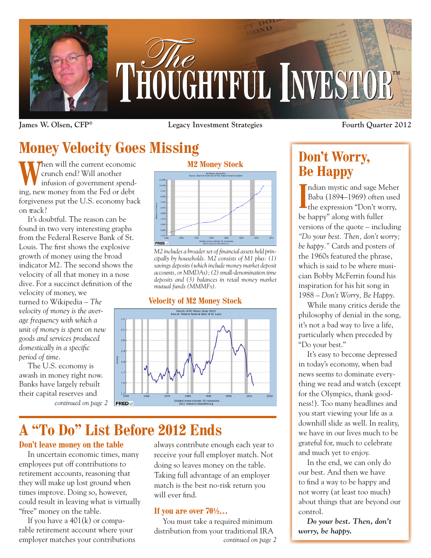

**James W. Olsen, CFP® Legacy Investment Strategies**

# **Money Velocity Goes Missing**

When will the current economic<br>
crunch end? Will another<br>
infusion of government spendcrunch end? Will another ing, new money from the Fed or debt forgiveness put the U.S. economy back on track?

It's doubtful. The reason can be found in two very interesting graphs from the Federal Reserve Bank of St. Louis. The first shows the explosive growth of money using the broad indicator M2. The second shows the velocity of all that money in a nose dive. For a succinct definition of the

velocity of money, we turned to Wikipedia – *The velocity of money is the average frequency with which a unit of money is spent on new goods and services produced domestically in a specific period of time*.

The U.S. economy is awash in money right now. Banks have largely rebuilt their capital reserves and



**M2 Money Stock**



*M2 includes a broader set of financial assets held principally by households. M2 consists of M1 plus: (1) savings deposits (which include money market deposit accounts, or MMDAs); (2) small-denomination time deposits and (3) balances in retail money market mutual funds (MMMFs).*

### **Velocity of M2 Money Stock**



## **A "To Do" List Before 2012 Ends**

### **Don't leave money on the table**

In uncertain economic times, many employees put off contributions to retirement accounts, reasoning that they will make up lost ground when times improve. Doing so, however, could result in leaving what is virtually "free" money on the table.

If you have a  $401(k)$  or comparable retirement account where your always contribute enough each year to receive your full employer match. Not doing so leaves money on the table. Taking full advantage of an employer match is the best no-risk return you will ever find.

### **If you are over 70½…**

You must take a required minimum distribution from your traditional IRA employer matches your contributions *continued on page 2* **Fourth Quarter 2012**

## **Don't Worry, Be Happy**

Indian mystic and sage Meher<br>
Baba (1894–1969) often used<br>
the expression "Don't worry, ndian mystic and sage Meher Baba (1894–1969) often used be happy" along with fuller versions of the quote – including *"Do your best. Then, don't worry; be happy."* Cards and posters of the 1960s featured the phrase, which is said to be where musician Bobby McFerrin found his inspiration for his hit song in 1988 – *Don't Worry, Be Happy*.

While many critics deride the philosophy of denial in the song, it's not a bad way to live a life, particularly when preceded by "Do your best."

It's easy to become depressed in today's economy, when bad news seems to dominate everything we read and watch (except for the Olympics, thank goodness!). Too many headlines and you start viewing your life as a downhill slide as well. In reality, we have in our lives much to be grateful for, much to celebrate and much yet to enjoy.

In the end, we can only do our best. And then we have to find a way to be happy and not worry (at least too much) about things that are beyond our control.

*Do your best. Then, don't worry, be happy.*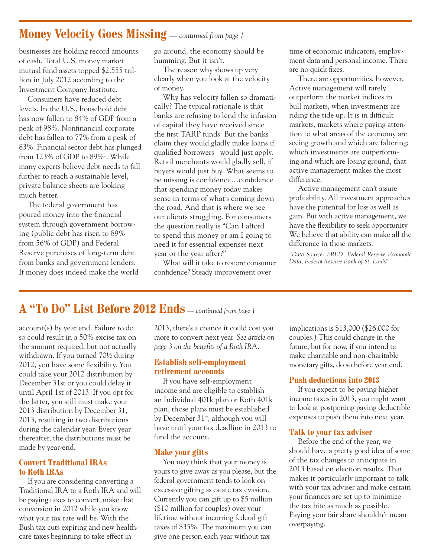### **Money Velocity Goes Missing** *— continued from page 1*

businesses are holding record amounts of cash. Total U.S. money market mutual fund assets topped \$2.555 trillion in July 2012 according to the Investment Company Institute.

Consumers have reduced debt levels. In the U.S., household debt has now fallen to 84% of GDP from a peak of 98%. Nonfinancial corporate debt has fallen to 77% from a peak of 83%. Financial sector debt has plunged from 123% of GDP to 89%1 . While many experts believe debt needs to fall further to reach a sustainable level, private balance sheets are looking much better.

The federal government has poured money into the financial system through government borrowing (public debt has risen to 89% from 56% of GDP) and Federal Reserve purchases of long-term debt from banks and government lenders. If money does indeed make the world go around, the economy should be humming. But it isn't.

The reason why shows up very clearly when you look at the velocity of money.

Why has velocity fallen so dramatically? The typical rationale is that banks are refusing to lend the infusion of capital they have received since the first TARP funds. But the banks claim they would gladly make loans if qualified borrowers would just apply. Retail merchants would gladly sell, if buyers would just buy. What seems to be missing is confidence…confidence that spending money today makes sense in terms of what's coming down the road. And that is where we see our clients struggling. For consumers the question really is "Can I afford to spend this money or am I going to need it for essential expenses next year or the year after?"

What will it take to restore consumer confidence? Steady improvement over

time of economic indicators, employment data and personal income. There are no quick fixes.

There are opportunities, however. Active management will rarely outperform the market indices in bull markets, when investments are riding the tide up. It is in difficult markets, markets where paying attention to what areas of the economy are seeing growth and which are faltering; which investments are outperforming and which are losing ground, that active management makes the most difference.

Active management can't assure profitability. All investment approaches have the potential for loss as well as gain. But with active management, we have the flexibility to seek opportunity. We believe that ability can make all the difference in these markets.

*"Data Source: FRED, Federal Reserve Economic Data, Federal Reserve Bank of St. Louis"*

### **A "To Do" List Before 2012 Ends** *— continued from page 1*

account(s) by year end. Failure to do so could result in a 50% excise tax on the amount required, but not actually withdrawn. If you turned 70½ during 2012, you have some flexibility. You could take your 2012 distribution by December 31st or you could delay it until April 1st of 2013. If you opt for the latter, you still must make your 2013 distribution by December 31, 2013, resulting in two distributions during the calendar year. Every year thereafter, the distributions must be made by year-end.

### **Convert Traditional IRAs to Roth IRAs**

If you are considering converting a Traditional IRA to a Roth IRA and will be paying taxes to convert, make that conversion in 2012 while you know what your tax rate will be. With the Bush tax cuts expiring and new healthcare taxes beginning to take effect in

2013, there's a chance it could cost you more to convert next year. *See article on page 3 on the benefits of a Roth IRA.*

#### **Establish self-employment retirement accounts**

If you have self-employment income and are eligible to establish an Individual 401k plan or Roth 401k plan, those plans must be established by December 31<sup>st</sup>, although you will have until your tax deadline in 2013 to fund the account.

### **Make your gifts**

You may think that your money is yours to give away as you please, but the federal government tends to look on excessive gifting as estate tax evasion. Currently you can gift up to \$5 million (\$10 million for couples) over your lifetime without incurring federal gift taxes of \$35%. The maximum you can give one person each year without tax

implications is \$13,000 (\$26,000 for couples.) This could change in the future, but for now, if you intend to make charitable and non-charitable monetary gifts, do so before year end.

#### **Push deductions into 2013**

If you expect to be paying higher income taxes in 2013, you might want to look at postponing paying deductible expenses to push them into next year.

#### **Talk to your tax adviser**

Before the end of the year, we should have a pretty good idea of some of the tax changes to anticipate in 2013 based on election results. That makes it particularly important to talk with your tax adviser and make certain your finances are set up to minimize the tax bite as much as possible. Paying your fair share shouldn't mean overpaying.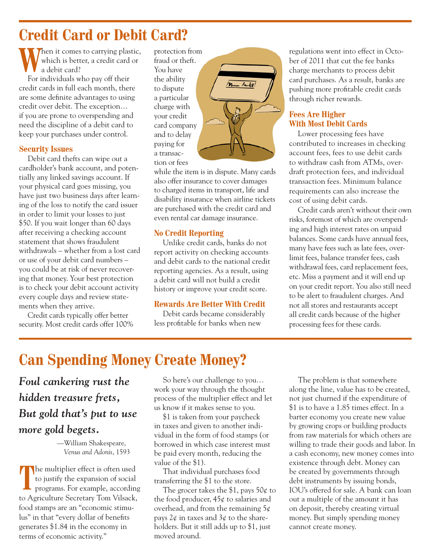## **Credit Card or Debit Card?**

Then it comes to carrying plastic, which is better, a credit card or a debit card?

For individuals who pay off their credit cards in full each month, there are some definite advantages to using credit over debit. The exception… if you are prone to overspending and need the discipline of a debit card to keep your purchases under control.

### **Security Issues**

Debit card thefts can wipe out a cardholder's bank account, and potentially any linked savings account. If your physical card goes missing, you have just two business days after learning of the loss to notify the card issuer in order to limit your losses to just \$50. If you wait longer than 60 days after receiving a checking account statement that shows fraudulent withdrawals – whether from a lost card or use of your debit card numbers – you could be at risk of never recovering that money. Your best protection is to check your debit account activity every couple days and review statements when they arrive.

Credit cards typically offer better security. Most credit cards offer 100%

protection from fraud or theft. You have the ability to dispute a particular charge with your credit card company and to delay paying for a transaction or fees

while the item is in dispute. Many cards also offer insurance to cover damages to charged items in transport, life and disability insurance when airline tickets are purchased with the credit card and even rental car damage insurance.

Man Aubel

### **No Credit Reporting**

Unlike credit cards, banks do not report activity on checking accounts and debit cards to the national credit reporting agencies. As a result, using a debit card will not build a credit history or improve your credit score.

### **Rewards Are Better With Credit**

Debit cards became considerably less profitable for banks when new

regulations went into effect in October of 2011 that cut the fee banks charge merchants to process debit card purchases. As a result, banks are pushing more profitable credit cards through richer rewards.

### **Fees Are Higher With Most Debit Cards**

Lower processing fees have contributed to increases in checking account fees, fees to use debit cards to withdraw cash from ATMs, overdraft protection fees, and individual transaction fees. Minimum balance requirements can also increase the cost of using debit cards.

Credit cards aren't without their own risks, foremost of which are overspending and high interest rates on unpaid balances. Some cards have annual fees, many have fees such as late fees, overlimit fees, balance transfer fees, cash withdrawal fees, card replacement fees, etc. Miss a payment and it will end up on your credit report. You also still need to be alert to fraudulent charges. And not all stores and restaurants accept all credit cards because of the higher processing fees for these cards.

# **Can Spending Money Create Money?**

*Foul cankering rust the hidden treasure frets, But gold that's put to use more gold begets.*

> —William Shakespeare, *Venus and Adonis*, 1593

The multiplier effect is often used<br>to justify the expansion of social<br>programs. For example, according to justify the expansion of social programs. For example, according to Agriculture Secretary Tom Vilsack, food stamps are an "economic stimulus" in that "every dollar of benefits generates \$1.84 in the economy in terms of economic activity."

So here's our challenge to you… work your way through the thought process of the multiplier effect and let us know if it makes sense to you.

\$1 is taken from your paycheck in taxes and given to another individual in the form of food stamps (or borrowed in which case interest must be paid every month, reducing the value of the \$1).

That individual purchases food transferring the \$1 to the store.

The grocer takes the \$1, pays  $50¢$  to the food producer,  $45¢$  to salaries and overhead, and from the remaining 5¢ pays  $2\phi$  in taxes and  $3\phi$  to the shareholders. But it still adds up to \$1, just moved around.

The problem is that somewhere along the line, value has to be created, not just churned if the expenditure of \$1 is to have a 1.85 times effect. In a barter economy you create new value by growing crops or building products from raw materials for which others are willing to trade their goods and labor. In a cash economy, new money comes into existence through debt. Money can be created by governments through debt instruments by issuing bonds, IOU's offered for sale. A bank can loan out a multiple of the amount it has on deposit, thereby creating virtual money. But simply spending money cannot create money.